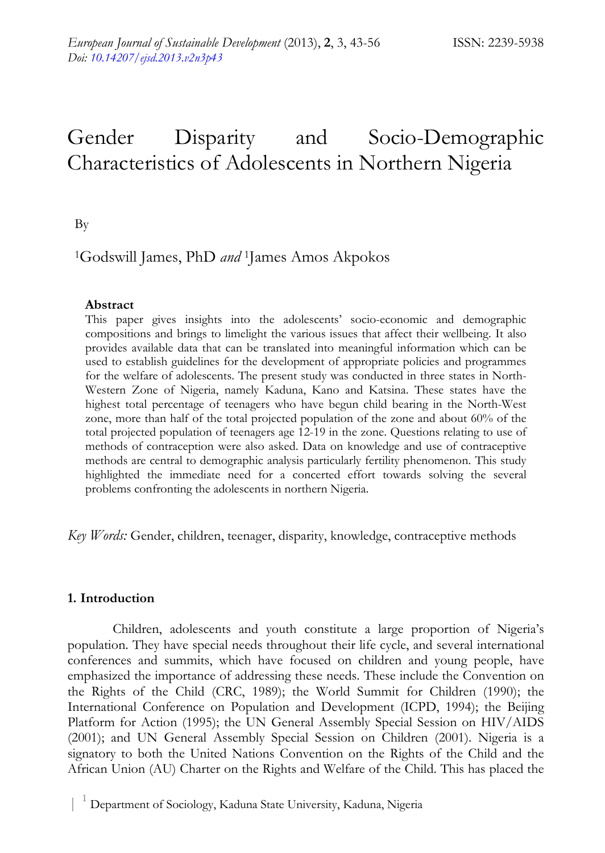# Gender Disparity and Socio-Demographic Characteristics of Adolescents in Northern Nigeria

By

# 1Godswill James, PhD *and* 1James Amos Akpokos

## **Abstract**

This paper gives insights into the adolescents' socio-economic and demographic compositions and brings to limelight the various issues that affect their wellbeing. It also provides available data that can be translated into meaningful information which can be used to establish guidelines for the development of appropriate policies and programmes for the welfare of adolescents. The present study was conducted in three states in North-Western Zone of Nigeria, namely Kaduna, Kano and Katsina. These states have the highest total percentage of teenagers who have begun child bearing in the North-West zone, more than half of the total projected population of the zone and about 60% of the total projected population of teenagers age 12-19 in the zone. Questions relating to use of methods of contraception were also asked. Data on knowledge and use of contraceptive methods are central to demographic analysis particularly fertility phenomenon. This study highlighted the immediate need for a concerted effort towards solving the several problems confronting the adolescents in northern Nigeria.

*Key Words:* Gender, children, teenager, disparity, knowledge, contraceptive methods

# **1. Introduction**

 Children, adolescents and youth constitute a large proportion of Nigeria's population. They have special needs throughout their life cycle, and several international conferences and summits, which have focused on children and young people, have emphasized the importance of addressing these needs. These include the Convention on the Rights of the Child (CRC, 1989); the World Summit for Children (1990); the International Conference on Population and Development (ICPD, 1994); the Beijing Platform for Action (1995); the UN General Assembly Special Session on HIV/AIDS (2001); and UN General Assembly Special Session on Children (2001). Nigeria is a signatory to both the United Nations Convention on the Rights of the Child and the African Union (AU) Charter on the Rights and Welfare of the Child. This has placed the

 <sup>|</sup> <sup>1</sup> Department of Sociology, Kaduna State University, Kaduna, Nigeria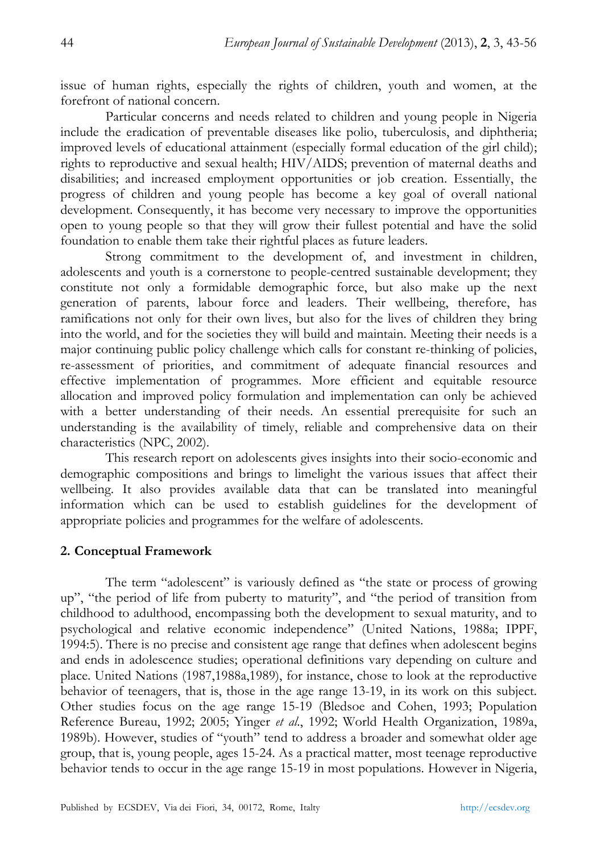issue of human rights, especially the rights of children, youth and women, at the forefront of national concern.

 Particular concerns and needs related to children and young people in Nigeria include the eradication of preventable diseases like polio, tuberculosis, and diphtheria; improved levels of educational attainment (especially formal education of the girl child); rights to reproductive and sexual health; HIV/AIDS; prevention of maternal deaths and disabilities; and increased employment opportunities or job creation. Essentially, the progress of children and young people has become a key goal of overall national development. Consequently, it has become very necessary to improve the opportunities open to young people so that they will grow their fullest potential and have the solid foundation to enable them take their rightful places as future leaders.

 Strong commitment to the development of, and investment in children, adolescents and youth is a cornerstone to people-centred sustainable development; they constitute not only a formidable demographic force, but also make up the next generation of parents, labour force and leaders. Their wellbeing, therefore, has ramifications not only for their own lives, but also for the lives of children they bring into the world, and for the societies they will build and maintain. Meeting their needs is a major continuing public policy challenge which calls for constant re-thinking of policies, re-assessment of priorities, and commitment of adequate financial resources and effective implementation of programmes. More efficient and equitable resource allocation and improved policy formulation and implementation can only be achieved with a better understanding of their needs. An essential prerequisite for such an understanding is the availability of timely, reliable and comprehensive data on their characteristics (NPC, 2002).

 This research report on adolescents gives insights into their socio-economic and demographic compositions and brings to limelight the various issues that affect their wellbeing. It also provides available data that can be translated into meaningful information which can be used to establish guidelines for the development of appropriate policies and programmes for the welfare of adolescents.

### **2. Conceptual Framework**

The term "adolescent" is variously defined as "the state or process of growing up", "the period of life from puberty to maturity", and "the period of transition from childhood to adulthood, encompassing both the development to sexual maturity, and to psychological and relative economic independence" (United Nations, 1988a; IPPF, 1994:5). There is no precise and consistent age range that defines when adolescent begins and ends in adolescence studies; operational definitions vary depending on culture and place. United Nations (1987,1988a,1989), for instance, chose to look at the reproductive behavior of teenagers, that is, those in the age range 13-19, in its work on this subject. Other studies focus on the age range 15-19 (Bledsoe and Cohen, 1993; Population Reference Bureau, 1992; 2005; Yinger *et al*., 1992; World Health Organization, 1989a, 1989b). However, studies of "youth" tend to address a broader and somewhat older age group, that is, young people, ages 15-24. As a practical matter, most teenage reproductive behavior tends to occur in the age range 15-19 in most populations. However in Nigeria,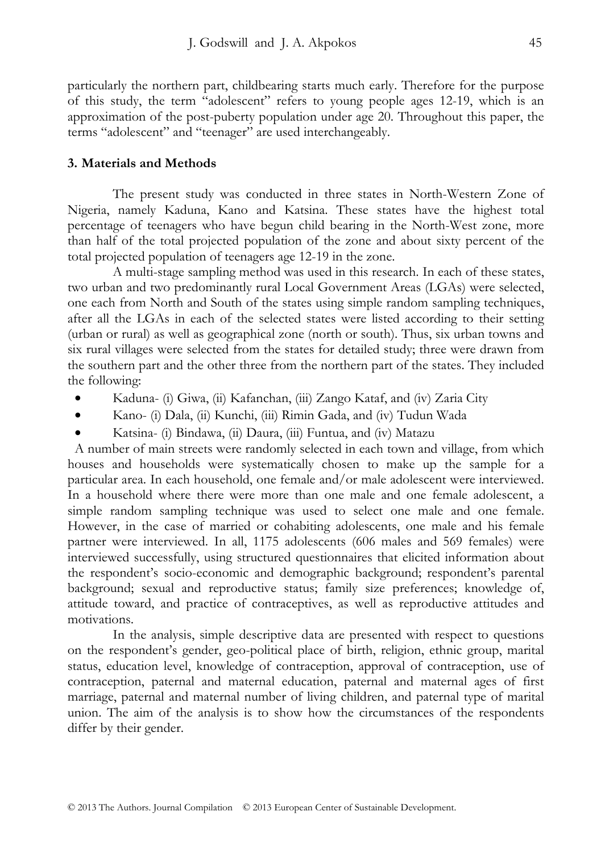particularly the northern part, childbearing starts much early. Therefore for the purpose of this study, the term "adolescent" refers to young people ages 12-19, which is an approximation of the post-puberty population under age 20. Throughout this paper, the terms "adolescent" and "teenager" are used interchangeably.

#### **3. Materials and Methods**

The present study was conducted in three states in North-Western Zone of Nigeria, namely Kaduna, Kano and Katsina. These states have the highest total percentage of teenagers who have begun child bearing in the North-West zone, more than half of the total projected population of the zone and about sixty percent of the total projected population of teenagers age 12-19 in the zone.

 A multi-stage sampling method was used in this research. In each of these states, two urban and two predominantly rural Local Government Areas (LGAs) were selected, one each from North and South of the states using simple random sampling techniques, after all the LGAs in each of the selected states were listed according to their setting (urban or rural) as well as geographical zone (north or south). Thus, six urban towns and six rural villages were selected from the states for detailed study; three were drawn from the southern part and the other three from the northern part of the states. They included the following:

- Kaduna- (i) Giwa, (ii) Kafanchan, (iii) Zango Kataf, and (iv) Zaria City
- Kano- (i) Dala, (ii) Kunchi, (iii) Rimin Gada, and (iv) Tudun Wada
- Katsina- (i) Bindawa, (ii) Daura, (iii) Funtua, and (iv) Matazu

A number of main streets were randomly selected in each town and village, from which houses and households were systematically chosen to make up the sample for a particular area. In each household, one female and/or male adolescent were interviewed. In a household where there were more than one male and one female adolescent, a simple random sampling technique was used to select one male and one female. However, in the case of married or cohabiting adolescents, one male and his female partner were interviewed. In all, 1175 adolescents (606 males and 569 females) were interviewed successfully, using structured questionnaires that elicited information about the respondent's socio-economic and demographic background; respondent's parental background; sexual and reproductive status; family size preferences; knowledge of, attitude toward, and practice of contraceptives, as well as reproductive attitudes and motivations.

 In the analysis, simple descriptive data are presented with respect to questions on the respondent's gender, geo-political place of birth, religion, ethnic group, marital status, education level, knowledge of contraception, approval of contraception, use of contraception, paternal and maternal education, paternal and maternal ages of first marriage, paternal and maternal number of living children, and paternal type of marital union. The aim of the analysis is to show how the circumstances of the respondents differ by their gender.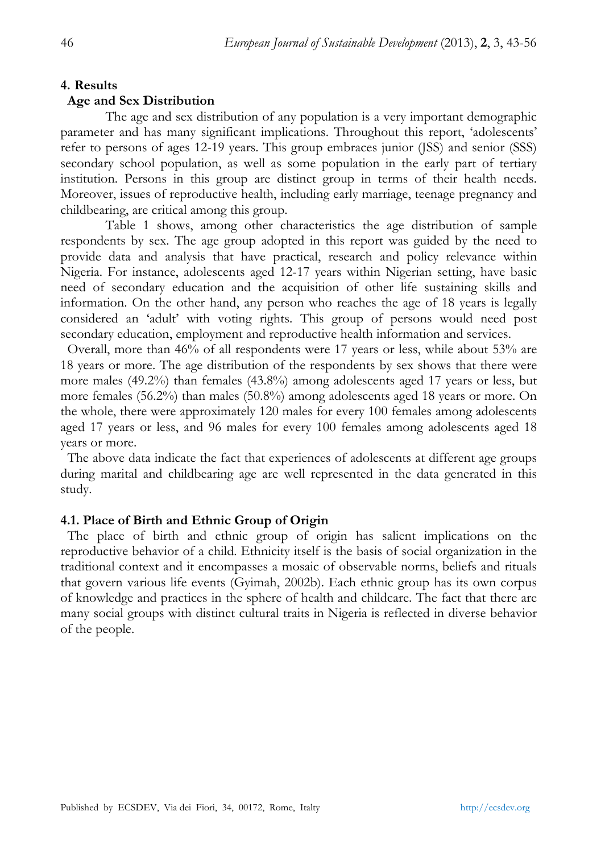#### **4. Results**

#### **Age and Sex Distribution**

The age and sex distribution of any population is a very important demographic parameter and has many significant implications. Throughout this report, 'adolescents' refer to persons of ages 12-19 years. This group embraces junior (JSS) and senior (SSS) secondary school population, as well as some population in the early part of tertiary institution. Persons in this group are distinct group in terms of their health needs. Moreover, issues of reproductive health, including early marriage, teenage pregnancy and childbearing, are critical among this group.

 Table 1 shows, among other characteristics the age distribution of sample respondents by sex. The age group adopted in this report was guided by the need to provide data and analysis that have practical, research and policy relevance within Nigeria. For instance, adolescents aged 12-17 years within Nigerian setting, have basic need of secondary education and the acquisition of other life sustaining skills and information. On the other hand, any person who reaches the age of 18 years is legally considered an 'adult' with voting rights. This group of persons would need post secondary education, employment and reproductive health information and services.

Overall, more than 46% of all respondents were 17 years or less, while about 53% are 18 years or more. The age distribution of the respondents by sex shows that there were more males (49.2%) than females (43.8%) among adolescents aged 17 years or less, but more females (56.2%) than males (50.8%) among adolescents aged 18 years or more. On the whole, there were approximately 120 males for every 100 females among adolescents aged 17 years or less, and 96 males for every 100 females among adolescents aged 18 years or more.

The above data indicate the fact that experiences of adolescents at different age groups during marital and childbearing age are well represented in the data generated in this study.

#### **4.1. Place of Birth and Ethnic Group of Origin**

The place of birth and ethnic group of origin has salient implications on the reproductive behavior of a child. Ethnicity itself is the basis of social organization in the traditional context and it encompasses a mosaic of observable norms, beliefs and rituals that govern various life events (Gyimah, 2002b). Each ethnic group has its own corpus of knowledge and practices in the sphere of health and childcare. The fact that there are many social groups with distinct cultural traits in Nigeria is reflected in diverse behavior of the people.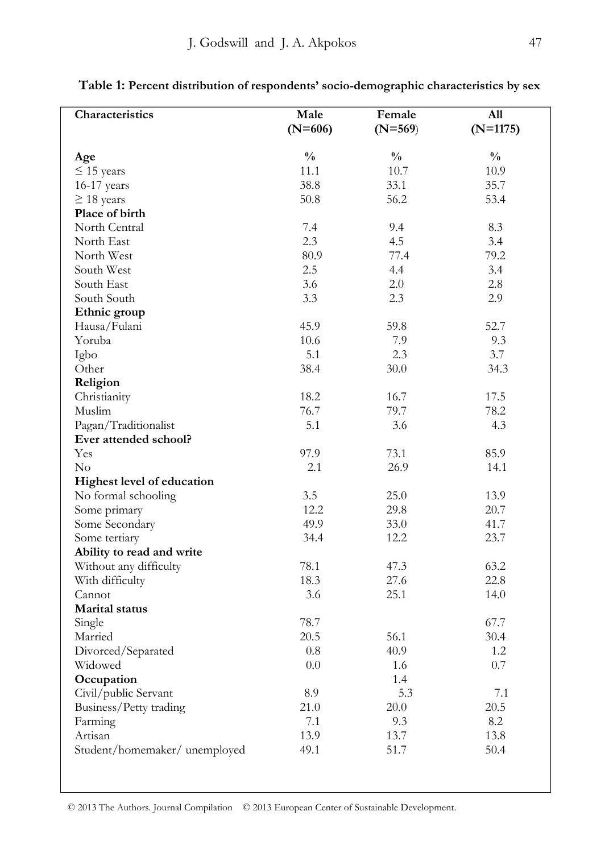| Characteristics               | Male          | Female        | A11           |
|-------------------------------|---------------|---------------|---------------|
|                               | $(N=606)$     | $(N=569)$     | $(N=1175)$    |
|                               | $\frac{0}{0}$ | $\frac{0}{0}$ | $\frac{0}{0}$ |
| Age<br>$\leq$ 15 years        | 11.1          | 10.7          | 10.9          |
| 16-17 years                   | 38.8          | 33.1          | 35.7          |
| $\geq$ 18 years               | 50.8          | 56.2          | 53.4          |
| Place of birth                |               |               |               |
| North Central                 | 7.4           | 9.4           | 8.3           |
| North East                    | 2.3           | 4.5           | 3.4           |
| North West                    | 80.9          | 77.4          | 79.2          |
| South West                    | 2.5           | 4.4           | 3.4           |
| South East                    | 3.6           | 2.0           | 2.8           |
| South South                   | 3.3           | 2.3           | 2.9           |
| Ethnic group                  |               |               |               |
| Hausa/Fulani                  | 45.9          | 59.8          | 52.7          |
| Yoruba                        | 10.6          | 7.9           | 9.3           |
| Igbo                          | 5.1           | 2.3           | 3.7           |
| Other                         | 38.4          | 30.0          | 34.3          |
| Religion                      |               |               |               |
| Christianity                  | 18.2          | 16.7          | 17.5          |
| Muslim                        | 76.7          | 79.7          | 78.2          |
| Pagan/Traditionalist          | 5.1           | 3.6           | 4.3           |
| Ever attended school?         |               |               |               |
| Yes                           | 97.9          | 73.1          | 85.9          |
| $\rm No$                      | 2.1           | 26.9          | 14.1          |
| Highest level of education    |               |               |               |
| No formal schooling           | 3.5           | 25.0          | 13.9          |
| Some primary                  | 12.2          | 29.8          | 20.7          |
| Some Secondary                | 49.9          | 33.0          | 41.7          |
| Some tertiary                 | 34.4          | 12.2          | 23.7          |
| Ability to read and write     |               |               |               |
| Without any difficulty        | 78.1          | 47.3          | 63.2          |
| With difficulty               | 18.3          | 27.6          | 22.8          |
| Cannot                        | 3.6           | 25.1          | 14.0          |
| <b>Marital</b> status         |               |               |               |
| Single                        | 78.7          |               | 67.7          |
| Married                       | 20.5          | 56.1          | 30.4          |
| Divorced/Separated            | 0.8           | 40.9          | 1.2           |
| Widowed                       | $0.0\,$       | 1.6           | 0.7           |
| Occupation                    |               | 1.4           |               |
| Civil/public Servant          | 8.9           | 5.3           | 7.1           |
| Business/Petty trading        | 21.0          | 20.0          | 20.5          |
| Farming                       | 7.1           | 9.3           | 8.2           |
| Artisan                       | 13.9          | 13.7          | 13.8          |
| Student/homemaker/ unemployed | 49.1          | 51.7          | 50.4          |

**Table 1: Percent distribution of respondents' socio-demographic characteristics by sex**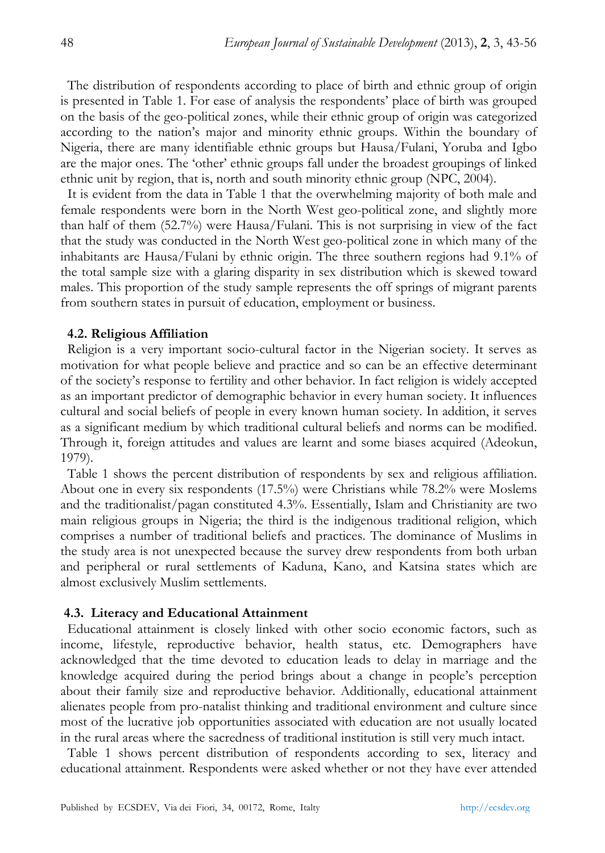The distribution of respondents according to place of birth and ethnic group of origin is presented in Table 1. For ease of analysis the respondents' place of birth was grouped on the basis of the geo-political zones, while their ethnic group of origin was categorized according to the nation's major and minority ethnic groups. Within the boundary of Nigeria, there are many identifiable ethnic groups but Hausa/Fulani, Yoruba and Igbo are the major ones. The 'other' ethnic groups fall under the broadest groupings of linked ethnic unit by region, that is, north and south minority ethnic group (NPC, 2004).

It is evident from the data in Table 1 that the overwhelming majority of both male and female respondents were born in the North West geo-political zone, and slightly more than half of them (52.7%) were Hausa/Fulani. This is not surprising in view of the fact that the study was conducted in the North West geo-political zone in which many of the inhabitants are Hausa/Fulani by ethnic origin. The three southern regions had 9.1% of the total sample size with a glaring disparity in sex distribution which is skewed toward males. This proportion of the study sample represents the off springs of migrant parents from southern states in pursuit of education, employment or business.

#### **4.2. Religious Affiliation**

Religion is a very important socio-cultural factor in the Nigerian society. It serves as motivation for what people believe and practice and so can be an effective determinant of the society's response to fertility and other behavior. In fact religion is widely accepted as an important predictor of demographic behavior in every human society. It influences cultural and social beliefs of people in every known human society. In addition, it serves as a significant medium by which traditional cultural beliefs and norms can be modified. Through it, foreign attitudes and values are learnt and some biases acquired (Adeokun, 1979).

Table 1 shows the percent distribution of respondents by sex and religious affiliation. About one in every six respondents (17.5%) were Christians while 78.2% were Moslems and the traditionalist/pagan constituted 4.3%. Essentially, Islam and Christianity are two main religious groups in Nigeria; the third is the indigenous traditional religion, which comprises a number of traditional beliefs and practices. The dominance of Muslims in the study area is not unexpected because the survey drew respondents from both urban and peripheral or rural settlements of Kaduna, Kano, and Katsina states which are almost exclusively Muslim settlements.

#### **4.3. Literacy and Educational Attainment**

Educational attainment is closely linked with other socio economic factors, such as income, lifestyle, reproductive behavior, health status, etc. Demographers have acknowledged that the time devoted to education leads to delay in marriage and the knowledge acquired during the period brings about a change in people's perception about their family size and reproductive behavior. Additionally, educational attainment alienates people from pro-natalist thinking and traditional environment and culture since most of the lucrative job opportunities associated with education are not usually located in the rural areas where the sacredness of traditional institution is still very much intact.

Table 1 shows percent distribution of respondents according to sex, literacy and educational attainment. Respondents were asked whether or not they have ever attended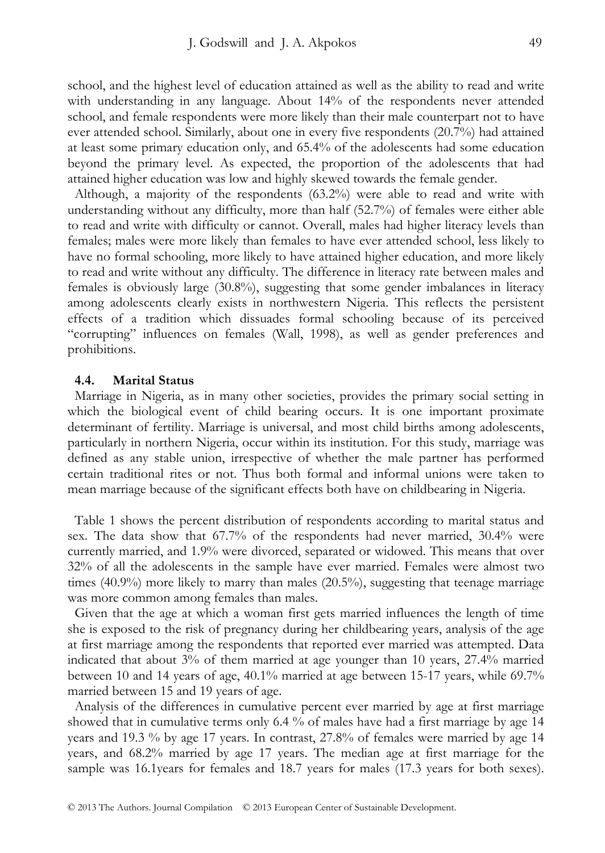school, and the highest level of education attained as well as the ability to read and write with understanding in any language. About 14% of the respondents never attended school, and female respondents were more likely than their male counterpart not to have ever attended school. Similarly, about one in every five respondents (20.7%) had attained at least some primary education only, and 65.4% of the adolescents had some education beyond the primary level. As expected, the proportion of the adolescents that had attained higher education was low and highly skewed towards the female gender.

Although, a majority of the respondents (63.2%) were able to read and write with understanding without any difficulty, more than half (52.7%) of females were either able to read and write with difficulty or cannot. Overall, males had higher literacy levels than females; males were more likely than females to have ever attended school, less likely to have no formal schooling, more likely to have attained higher education, and more likely to read and write without any difficulty. The difference in literacy rate between males and females is obviously large (30.8%), suggesting that some gender imbalances in literacy among adolescents clearly exists in northwestern Nigeria. This reflects the persistent effects of a tradition which dissuades formal schooling because of its perceived "corrupting" influences on females (Wall, 1998), as well as gender preferences and prohibitions.

#### **4.4. Marital Status**

Marriage in Nigeria, as in many other societies, provides the primary social setting in which the biological event of child bearing occurs. It is one important proximate determinant of fertility. Marriage is universal, and most child births among adolescents, particularly in northern Nigeria, occur within its institution. For this study, marriage was defined as any stable union, irrespective of whether the male partner has performed certain traditional rites or not. Thus both formal and informal unions were taken to mean marriage because of the significant effects both have on childbearing in Nigeria.

Table 1 shows the percent distribution of respondents according to marital status and sex. The data show that 67.7% of the respondents had never married, 30.4% were currently married, and 1.9% were divorced, separated or widowed. This means that over 32% of all the adolescents in the sample have ever married. Females were almost two times (40.9%) more likely to marry than males (20.5%), suggesting that teenage marriage was more common among females than males.

Given that the age at which a woman first gets married influences the length of time she is exposed to the risk of pregnancy during her childbearing years, analysis of the age at first marriage among the respondents that reported ever married was attempted. Data indicated that about 3% of them married at age younger than 10 years, 27.4% married between 10 and 14 years of age, 40.1% married at age between 15-17 years, while 69.7% married between 15 and 19 years of age.

Analysis of the differences in cumulative percent ever married by age at first marriage showed that in cumulative terms only 6.4 % of males have had a first marriage by age 14 years and 19.3 % by age 17 years. In contrast, 27.8% of females were married by age 14 years, and 68.2% married by age 17 years. The median age at first marriage for the sample was 16.1years for females and 18.7 years for males (17.3 years for both sexes).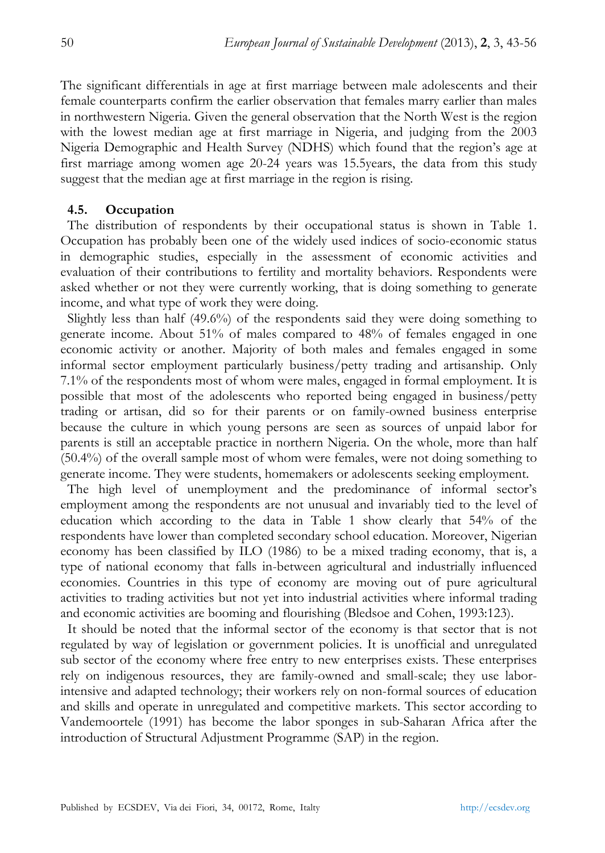The significant differentials in age at first marriage between male adolescents and their female counterparts confirm the earlier observation that females marry earlier than males in northwestern Nigeria. Given the general observation that the North West is the region with the lowest median age at first marriage in Nigeria, and judging from the 2003 Nigeria Demographic and Health Survey (NDHS) which found that the region's age at first marriage among women age 20-24 years was 15.5years, the data from this study suggest that the median age at first marriage in the region is rising.

#### **4.5. Occupation**

The distribution of respondents by their occupational status is shown in Table 1. Occupation has probably been one of the widely used indices of socio-economic status in demographic studies, especially in the assessment of economic activities and evaluation of their contributions to fertility and mortality behaviors. Respondents were asked whether or not they were currently working, that is doing something to generate income, and what type of work they were doing.

Slightly less than half (49.6%) of the respondents said they were doing something to generate income. About 51% of males compared to 48% of females engaged in one economic activity or another. Majority of both males and females engaged in some informal sector employment particularly business/petty trading and artisanship. Only 7.1% of the respondents most of whom were males, engaged in formal employment. It is possible that most of the adolescents who reported being engaged in business/petty trading or artisan, did so for their parents or on family-owned business enterprise because the culture in which young persons are seen as sources of unpaid labor for parents is still an acceptable practice in northern Nigeria. On the whole, more than half (50.4%) of the overall sample most of whom were females, were not doing something to generate income. They were students, homemakers or adolescents seeking employment.

The high level of unemployment and the predominance of informal sector's employment among the respondents are not unusual and invariably tied to the level of education which according to the data in Table 1 show clearly that 54% of the respondents have lower than completed secondary school education. Moreover, Nigerian economy has been classified by ILO (1986) to be a mixed trading economy, that is, a type of national economy that falls in-between agricultural and industrially influenced economies. Countries in this type of economy are moving out of pure agricultural activities to trading activities but not yet into industrial activities where informal trading and economic activities are booming and flourishing (Bledsoe and Cohen, 1993:123).

It should be noted that the informal sector of the economy is that sector that is not regulated by way of legislation or government policies. It is unofficial and unregulated sub sector of the economy where free entry to new enterprises exists. These enterprises rely on indigenous resources, they are family-owned and small-scale; they use laborintensive and adapted technology; their workers rely on non-formal sources of education and skills and operate in unregulated and competitive markets. This sector according to Vandemoortele (1991) has become the labor sponges in sub-Saharan Africa after the introduction of Structural Adjustment Programme (SAP) in the region.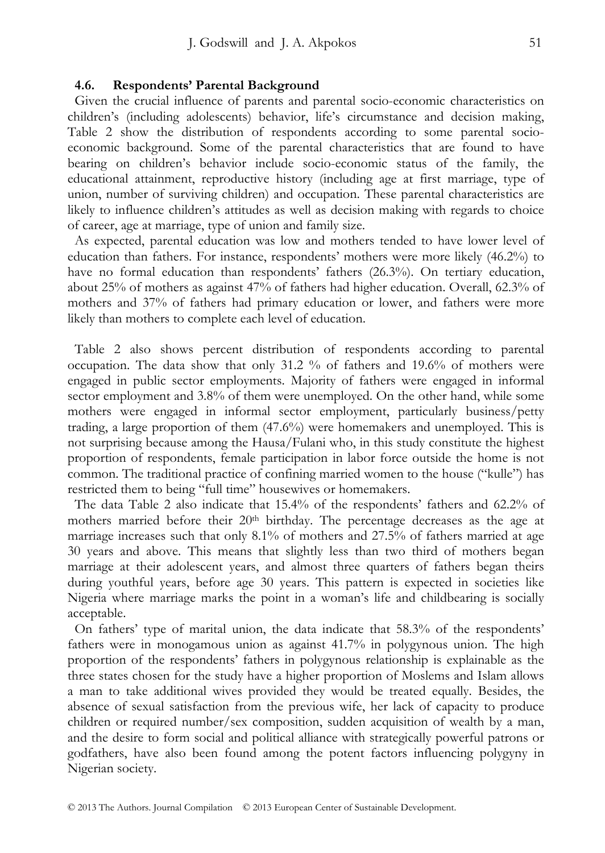#### **4.6. Respondents' Parental Background**

Given the crucial influence of parents and parental socio-economic characteristics on children's (including adolescents) behavior, life's circumstance and decision making, Table 2 show the distribution of respondents according to some parental socioeconomic background. Some of the parental characteristics that are found to have bearing on children's behavior include socio-economic status of the family, the educational attainment, reproductive history (including age at first marriage, type of union, number of surviving children) and occupation. These parental characteristics are likely to influence children's attitudes as well as decision making with regards to choice of career, age at marriage, type of union and family size.

As expected, parental education was low and mothers tended to have lower level of education than fathers. For instance, respondents' mothers were more likely (46.2%) to have no formal education than respondents' fathers (26.3%). On tertiary education, about 25% of mothers as against 47% of fathers had higher education. Overall, 62.3% of mothers and 37% of fathers had primary education or lower, and fathers were more likely than mothers to complete each level of education.

Table 2 also shows percent distribution of respondents according to parental occupation. The data show that only 31.2 % of fathers and 19.6% of mothers were engaged in public sector employments. Majority of fathers were engaged in informal sector employment and 3.8% of them were unemployed. On the other hand, while some mothers were engaged in informal sector employment, particularly business/petty trading, a large proportion of them (47.6%) were homemakers and unemployed. This is not surprising because among the Hausa/Fulani who, in this study constitute the highest proportion of respondents, female participation in labor force outside the home is not common. The traditional practice of confining married women to the house ("kulle") has restricted them to being "full time" housewives or homemakers.

The data Table 2 also indicate that 15.4% of the respondents' fathers and 62.2% of mothers married before their 20th birthday. The percentage decreases as the age at marriage increases such that only 8.1% of mothers and 27.5% of fathers married at age 30 years and above. This means that slightly less than two third of mothers began marriage at their adolescent years, and almost three quarters of fathers began theirs during youthful years, before age 30 years. This pattern is expected in societies like Nigeria where marriage marks the point in a woman's life and childbearing is socially acceptable.

On fathers' type of marital union, the data indicate that 58.3% of the respondents' fathers were in monogamous union as against 41.7% in polygynous union. The high proportion of the respondents' fathers in polygynous relationship is explainable as the three states chosen for the study have a higher proportion of Moslems and Islam allows a man to take additional wives provided they would be treated equally. Besides, the absence of sexual satisfaction from the previous wife, her lack of capacity to produce children or required number/sex composition, sudden acquisition of wealth by a man, and the desire to form social and political alliance with strategically powerful patrons or godfathers, have also been found among the potent factors influencing polygyny in Nigerian society.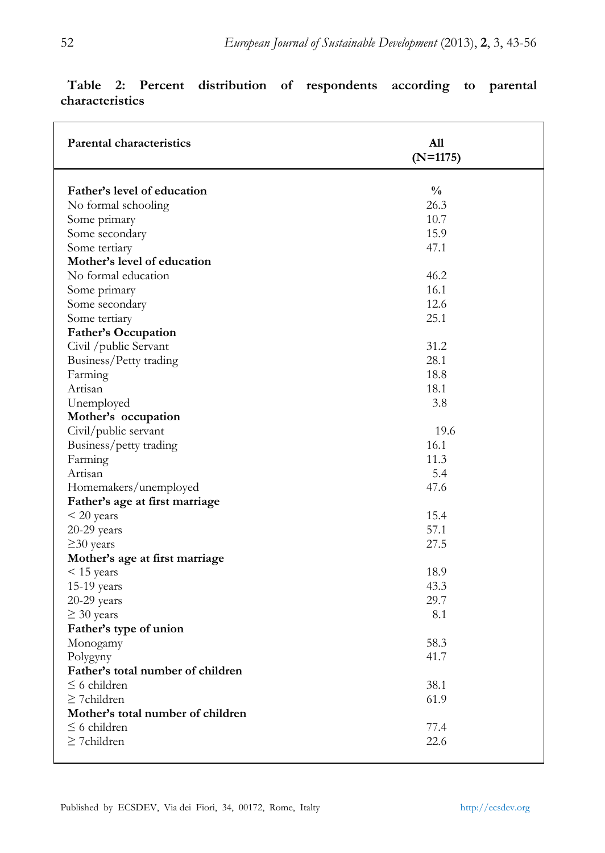| <b>Parental characteristics</b>   | A11<br>$(N=1175)$ |  |  |
|-----------------------------------|-------------------|--|--|
|                                   |                   |  |  |
| Father's level of education       | $\frac{0}{0}$     |  |  |
| No formal schooling               | 26.3              |  |  |
| Some primary                      | 10.7              |  |  |
| Some secondary                    | 15.9              |  |  |
| Some tertiary                     | 47.1              |  |  |
| Mother's level of education       |                   |  |  |
| No formal education               | 46.2              |  |  |
| Some primary                      | 16.1              |  |  |
| Some secondary                    | 12.6              |  |  |
| Some tertiary                     | 25.1              |  |  |
| <b>Father's Occupation</b>        |                   |  |  |
| Civil /public Servant             | 31.2              |  |  |
| Business/Petty trading            | 28.1              |  |  |
| Farming                           | 18.8              |  |  |
| Artisan                           | 18.1              |  |  |
| Unemployed                        | 3.8               |  |  |
| Mother's occupation               |                   |  |  |
| Civil/public servant              | 19.6              |  |  |
| Business/petty trading            | 16.1              |  |  |
| Farming                           | 11.3              |  |  |
| Artisan                           | 5.4               |  |  |
| Homemakers/unemployed             | 47.6              |  |  |
| Father's age at first marriage    |                   |  |  |
| $<$ 20 years                      | 15.4              |  |  |
| $20-29$ years                     | 57.1              |  |  |
| $\geq$ 30 years                   | 27.5              |  |  |
| Mother's age at first marriage    |                   |  |  |
| $\leq$ 15 years                   | 18.9              |  |  |
| 15-19 years                       | 43.3              |  |  |
| $20-29$ years                     | 29.7              |  |  |
| $\geq 30$ years                   | 8.1               |  |  |
| Father's type of union            |                   |  |  |
| Monogamy                          | 58.3              |  |  |
| Polygyny                          | 41.7              |  |  |
| Father's total number of children |                   |  |  |
| $\leq$ 6 children                 | 38.1              |  |  |
| $\geq$ 7 children                 | 61.9              |  |  |
| Mother's total number of children |                   |  |  |
| $\leq$ 6 children                 | 77.4              |  |  |
| $\geq$ 7 children                 | 22.6              |  |  |
|                                   |                   |  |  |

# **Table 2: Percent distribution of respondents according to parental characteristics**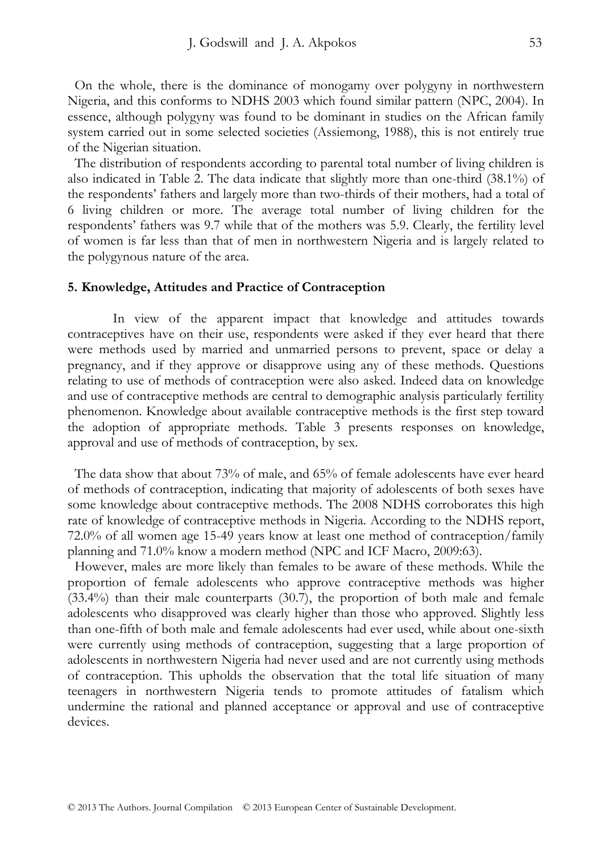On the whole, there is the dominance of monogamy over polygyny in northwestern Nigeria, and this conforms to NDHS 2003 which found similar pattern (NPC, 2004). In essence, although polygyny was found to be dominant in studies on the African family system carried out in some selected societies (Assiemong, 1988), this is not entirely true of the Nigerian situation.

The distribution of respondents according to parental total number of living children is also indicated in Table 2. The data indicate that slightly more than one-third (38.1%) of the respondents' fathers and largely more than two-thirds of their mothers, had a total of 6 living children or more. The average total number of living children for the respondents' fathers was 9.7 while that of the mothers was 5.9. Clearly, the fertility level of women is far less than that of men in northwestern Nigeria and is largely related to the polygynous nature of the area.

#### **5. Knowledge, Attitudes and Practice of Contraception**

In view of the apparent impact that knowledge and attitudes towards contraceptives have on their use, respondents were asked if they ever heard that there were methods used by married and unmarried persons to prevent, space or delay a pregnancy, and if they approve or disapprove using any of these methods. Questions relating to use of methods of contraception were also asked. Indeed data on knowledge and use of contraceptive methods are central to demographic analysis particularly fertility phenomenon. Knowledge about available contraceptive methods is the first step toward the adoption of appropriate methods. Table 3 presents responses on knowledge, approval and use of methods of contraception, by sex.

The data show that about 73% of male, and 65% of female adolescents have ever heard of methods of contraception, indicating that majority of adolescents of both sexes have some knowledge about contraceptive methods. The 2008 NDHS corroborates this high rate of knowledge of contraceptive methods in Nigeria. According to the NDHS report, 72.0% of all women age 15-49 years know at least one method of contraception/family planning and 71.0% know a modern method (NPC and ICF Macro, 2009:63).

However, males are more likely than females to be aware of these methods. While the proportion of female adolescents who approve contraceptive methods was higher (33.4%) than their male counterparts (30.7), the proportion of both male and female adolescents who disapproved was clearly higher than those who approved. Slightly less than one-fifth of both male and female adolescents had ever used, while about one-sixth were currently using methods of contraception, suggesting that a large proportion of adolescents in northwestern Nigeria had never used and are not currently using methods of contraception. This upholds the observation that the total life situation of many teenagers in northwestern Nigeria tends to promote attitudes of fatalism which undermine the rational and planned acceptance or approval and use of contraceptive devices.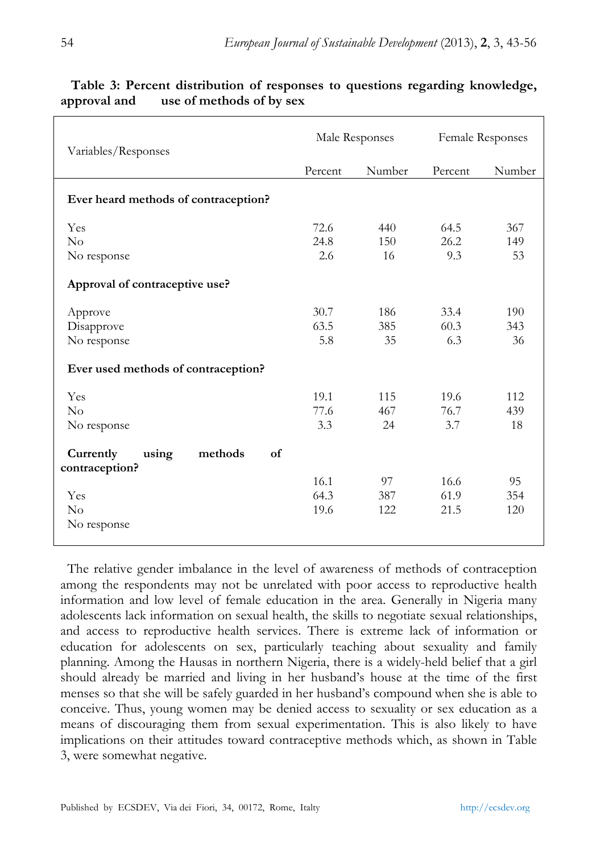| Variables/Responses                                   | Male Responses |        | Female Responses |        |
|-------------------------------------------------------|----------------|--------|------------------|--------|
|                                                       | Percent        | Number | Percent          | Number |
| Ever heard methods of contraception?                  |                |        |                  |        |
| Yes                                                   | 72.6           | 440    | 64.5             | 367    |
| No                                                    | 24.8           | 150    | 26.2             | 149    |
| No response                                           | 2.6            | 16     | 9.3              | 53     |
| Approval of contraceptive use?                        |                |        |                  |        |
| Approve                                               | 30.7           | 186    | 33.4             | 190    |
| Disapprove                                            | 63.5           | 385    | 60.3             | 343    |
| No response                                           | 5.8            | 35     | 6.3              | 36     |
| Ever used methods of contraception?                   |                |        |                  |        |
| Yes                                                   | 19.1           | 115    | 19.6             | 112    |
| No                                                    | 77.6           | 467    | 76.7             | 439    |
| No response                                           | 3.3            | 24     | 3.7              | 18     |
| Currently<br>methods<br>using<br>of<br>contraception? |                |        |                  |        |
|                                                       | 16.1           | 97     | 16.6             | 95     |
| Yes                                                   | 64.3           | 387    | 61.9             | 354    |
| $\rm No$                                              | 19.6           | 122    | 21.5             | 120    |
| No response                                           |                |        |                  |        |

## **Table 3: Percent distribution of responses to questions regarding knowledge, approval and use of methods of by sex**

The relative gender imbalance in the level of awareness of methods of contraception among the respondents may not be unrelated with poor access to reproductive health information and low level of female education in the area. Generally in Nigeria many adolescents lack information on sexual health, the skills to negotiate sexual relationships, and access to reproductive health services. There is extreme lack of information or education for adolescents on sex, particularly teaching about sexuality and family planning. Among the Hausas in northern Nigeria, there is a widely-held belief that a girl should already be married and living in her husband's house at the time of the first menses so that she will be safely guarded in her husband's compound when she is able to conceive. Thus, young women may be denied access to sexuality or sex education as a means of discouraging them from sexual experimentation. This is also likely to have implications on their attitudes toward contraceptive methods which, as shown in Table 3, were somewhat negative.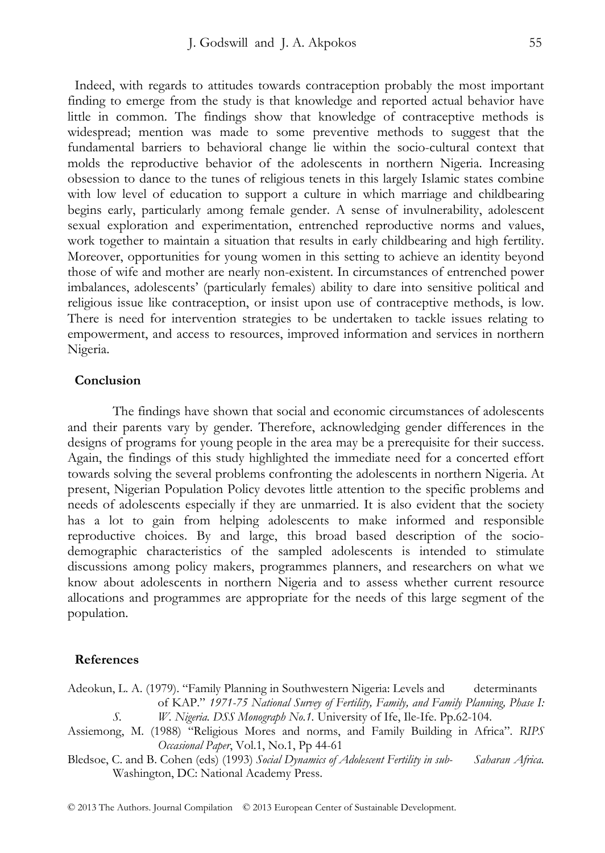Indeed, with regards to attitudes towards contraception probably the most important finding to emerge from the study is that knowledge and reported actual behavior have little in common. The findings show that knowledge of contraceptive methods is widespread; mention was made to some preventive methods to suggest that the fundamental barriers to behavioral change lie within the socio-cultural context that molds the reproductive behavior of the adolescents in northern Nigeria. Increasing obsession to dance to the tunes of religious tenets in this largely Islamic states combine with low level of education to support a culture in which marriage and childbearing begins early, particularly among female gender. A sense of invulnerability, adolescent sexual exploration and experimentation, entrenched reproductive norms and values, work together to maintain a situation that results in early childbearing and high fertility. Moreover, opportunities for young women in this setting to achieve an identity beyond those of wife and mother are nearly non-existent. In circumstances of entrenched power imbalances, adolescents' (particularly females) ability to dare into sensitive political and religious issue like contraception, or insist upon use of contraceptive methods, is low. There is need for intervention strategies to be undertaken to tackle issues relating to empowerment, and access to resources, improved information and services in northern Nigeria.

#### **Conclusion**

The findings have shown that social and economic circumstances of adolescents and their parents vary by gender. Therefore, acknowledging gender differences in the designs of programs for young people in the area may be a prerequisite for their success. Again, the findings of this study highlighted the immediate need for a concerted effort towards solving the several problems confronting the adolescents in northern Nigeria. At present, Nigerian Population Policy devotes little attention to the specific problems and needs of adolescents especially if they are unmarried. It is also evident that the society has a lot to gain from helping adolescents to make informed and responsible reproductive choices. By and large, this broad based description of the sociodemographic characteristics of the sampled adolescents is intended to stimulate discussions among policy makers, programmes planners, and researchers on what we know about adolescents in northern Nigeria and to assess whether current resource allocations and programmes are appropriate for the needs of this large segment of the population.

#### **References**

Adeokun, L. A. (1979). "Family Planning in Southwestern Nigeria: Levels and determinants of KAP." *1971-75 National Survey of Fertility, Family, and Family Planning, Phase I:* 

*W. Nigeria. DSS Monograph No.1.* University of Ife, Ile-Ife. Pp.62-104.

Assiemong, M. (1988) "Religious Mores and norms, and Family Building in Africa". *RIPS Occasional Paper*, Vol.1, No.1, Pp 44-61

Bledsoe, C. and B. Cohen (eds) (1993) *Social Dynamics of Adolescent Fertility in sub- Saharan Africa.* Washington, DC: National Academy Press.